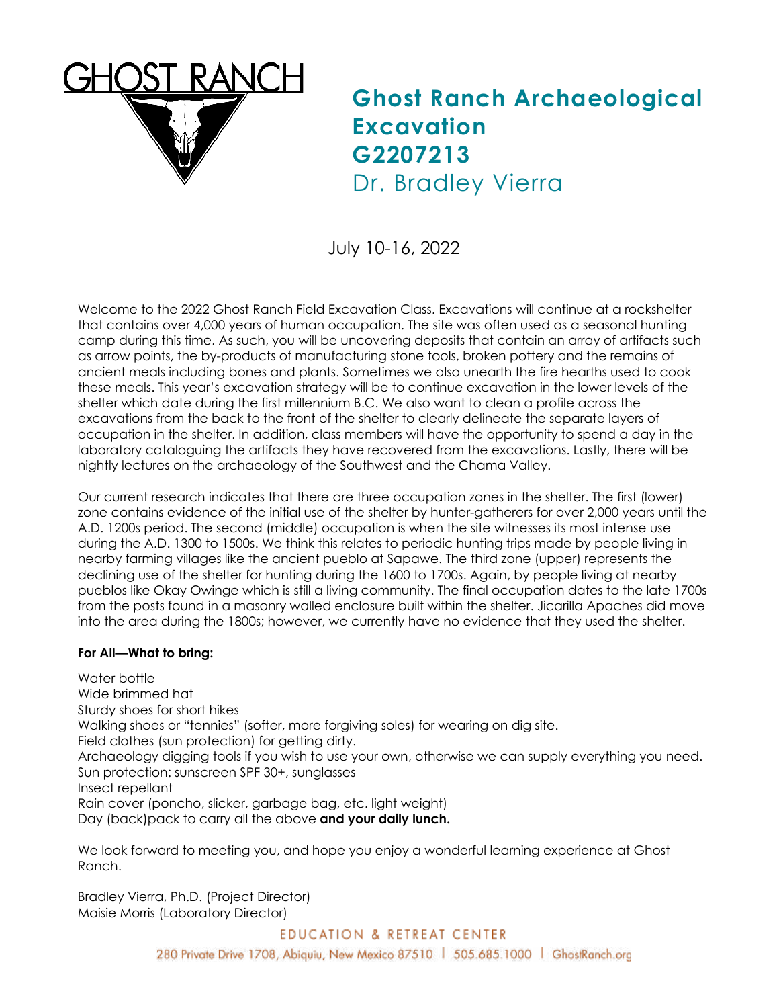

## **Ghost Ranch Archaeological Excavation G2207213** Dr. Bradley Vierra

July 10-16, 2022

Welcome to the 2022 Ghost Ranch Field Excavation Class. Excavations will continue at a rockshelter that contains over 4,000 years of human occupation. The site was often used as a seasonal hunting camp during this time. As such, you will be uncovering deposits that contain an array of artifacts such as arrow points, the by-products of manufacturing stone tools, broken pottery and the remains of ancient meals including bones and plants. Sometimes we also unearth the fire hearths used to cook these meals. This year's excavation strategy will be to continue excavation in the lower levels of the shelter which date during the first millennium B.C. We also want to clean a profile across the excavations from the back to the front of the shelter to clearly delineate the separate layers of occupation in the shelter. In addition, class members will have the opportunity to spend a day in the laboratory cataloguing the artifacts they have recovered from the excavations. Lastly, there will be nightly lectures on the archaeology of the Southwest and the Chama Valley.

Our current research indicates that there are three occupation zones in the shelter. The first (lower) zone contains evidence of the initial use of the shelter by hunter-gatherers for over 2,000 years until the A.D. 1200s period. The second (middle) occupation is when the site witnesses its most intense use during the A.D. 1300 to 1500s. We think this relates to periodic hunting trips made by people living in nearby farming villages like the ancient pueblo at Sapawe. The third zone (upper) represents the declining use of the shelter for hunting during the 1600 to 1700s. Again, by people living at nearby pueblos like Okay Owinge which is still a living community. The final occupation dates to the late 1700s from the posts found in a masonry walled enclosure built within the shelter. Jicarilla Apaches did move into the area during the 1800s; however, we currently have no evidence that they used the shelter.

## **For All—What to bring:**

Water bottle Wide brimmed hat Sturdy shoes for short hikes Walking shoes or "tennies" (softer, more forgiving soles) for wearing on dig site. Field clothes (sun protection) for getting dirty. Archaeology digging tools if you wish to use your own, otherwise we can supply everything you need. Sun protection: sunscreen SPF 30+, sunglasses Insect repellant Rain cover (poncho, slicker, garbage bag, etc. light weight) Day (back)pack to carry all the above **and your daily lunch.**

We look forward to meeting you, and hope you enjoy a wonderful learning experience at Ghost Ranch.

Bradley Vierra, Ph.D. (Project Director) Maisie Morris (Laboratory Director)